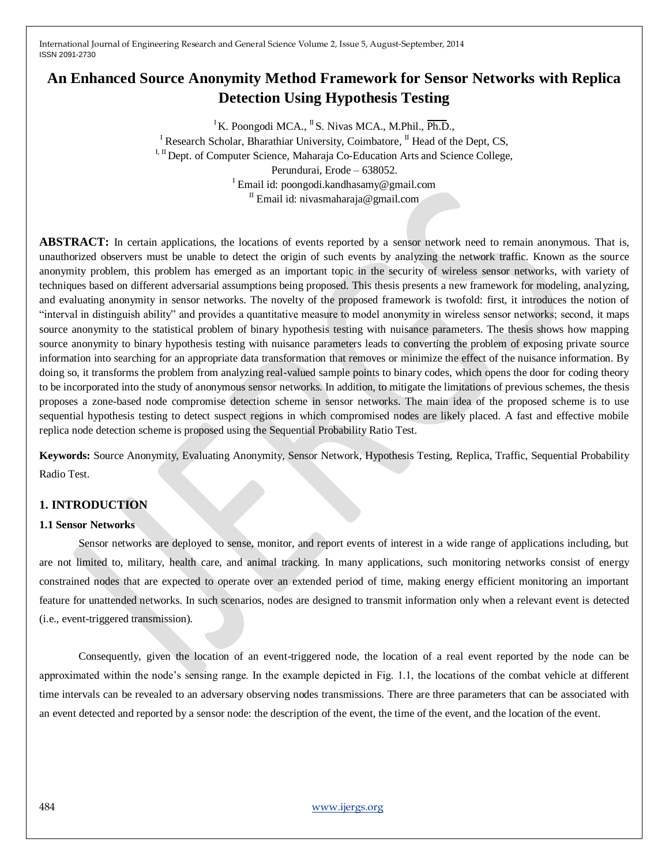# **An Enhanced Source Anonymity Method Framework for Sensor Networks with Replica Detection Using Hypothesis Testing**

<sup>I</sup>K. Poongodi MCA., <sup>II</sup>S. Nivas MCA., M.Phil.,  $\overline{Ph.D.}$ ,

<sup>I</sup> Research Scholar, Bharathiar University, Coimbatore,  $^{\text{II}}$  Head of the Dept, CS, I, II Dept. of Computer Science, Maharaja Co-Education Arts and Science College, Perundurai, Erode – 638052. <sup>I</sup> Email id: poongodi.kandhasamy@gmail.com <sup>II</sup> Email id: nivasmaharaja@gmail.com

**ABSTRACT:** In certain applications, the locations of events reported by a sensor network need to remain anonymous. That is, unauthorized observers must be unable to detect the origin of such events by analyzing the network traffic. Known as the source anonymity problem, this problem has emerged as an important topic in the security of wireless sensor networks, with variety of techniques based on different adversarial assumptions being proposed. This thesis presents a new framework for modeling, analyzing, and evaluating anonymity in sensor networks. The novelty of the proposed framework is twofold: first, it introduces the notion of "interval in distinguish ability" and provides a quantitative measure to model anonymity in wireless sensor networks; second, it maps source anonymity to the statistical problem of binary hypothesis testing with nuisance parameters. The thesis shows how mapping source anonymity to binary hypothesis testing with nuisance parameters leads to converting the problem of exposing private source information into searching for an appropriate data transformation that removes or minimize the effect of the nuisance information. By doing so, it transforms the problem from analyzing real-valued sample points to binary codes, which opens the door for coding theory to be incorporated into the study of anonymous sensor networks. In addition, to mitigate the limitations of previous schemes, the thesis proposes a zone-based node compromise detection scheme in sensor networks. The main idea of the proposed scheme is to use sequential hypothesis testing to detect suspect regions in which compromised nodes are likely placed. A fast and effective mobile replica node detection scheme is proposed using the Sequential Probability Ratio Test.

**Keywords:** Source Anonymity, Evaluating Anonymity, Sensor Network, Hypothesis Testing, Replica, Traffic, Sequential Probability Radio Test.

# **1. INTRODUCTION**

# **1.1 Sensor Networks**

Sensor networks are deployed to sense, monitor, and report events of interest in a wide range of applications including, but are not limited to, military, health care, and animal tracking. In many applications, such monitoring networks consist of energy constrained nodes that are expected to operate over an extended period of time, making energy efficient monitoring an important feature for unattended networks. In such scenarios, nodes are designed to transmit information only when a relevant event is detected (i.e., event-triggered transmission).

Consequently, given the location of an event-triggered node, the location of a real event reported by the node can be approximated within the node's sensing range. In the example depicted in Fig. 1.1, the locations of the combat vehicle at different time intervals can be revealed to an adversary observing nodes transmissions. There are three parameters that can be associated with an event detected and reported by a sensor node: the description of the event, the time of the event, and the location of the event.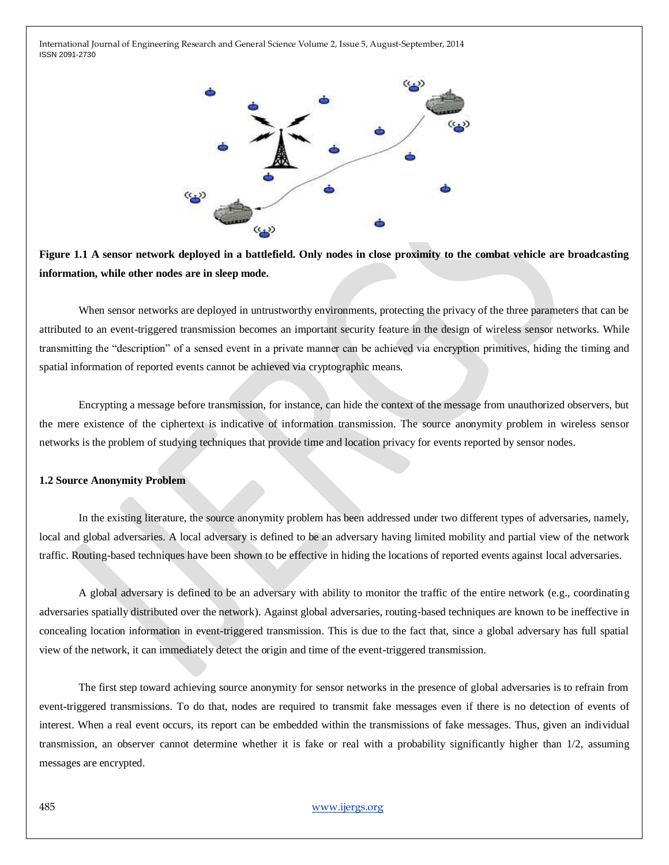

**Figure 1.1 A sensor network deployed in a battlefield. Only nodes in close proximity to the combat vehicle are broadcasting information, while other nodes are in sleep mode.**

When sensor networks are deployed in untrustworthy environments, protecting the privacy of the three parameters that can be attributed to an event-triggered transmission becomes an important security feature in the design of wireless sensor networks. While transmitting the "description" of a sensed event in a private manner can be achieved via encryption primitives, hiding the timing and spatial information of reported events cannot be achieved via cryptographic means.

Encrypting a message before transmission, for instance, can hide the context of the message from unauthorized observers, but the mere existence of the ciphertext is indicative of information transmission. The source anonymity problem in wireless sensor networks is the problem of studying techniques that provide time and location privacy for events reported by sensor nodes.

#### **1.2 Source Anonymity Problem**

In the existing literature, the source anonymity problem has been addressed under two different types of adversaries, namely, local and global adversaries. A local adversary is defined to be an adversary having limited mobility and partial view of the network traffic. Routing-based techniques have been shown to be effective in hiding the locations of reported events against local adversaries.

A global adversary is defined to be an adversary with ability to monitor the traffic of the entire network (e.g., coordinating adversaries spatially distributed over the network). Against global adversaries, routing-based techniques are known to be ineffective in concealing location information in event-triggered transmission. This is due to the fact that, since a global adversary has full spatial view of the network, it can immediately detect the origin and time of the event-triggered transmission.

The first step toward achieving source anonymity for sensor networks in the presence of global adversaries is to refrain from event-triggered transmissions. To do that, nodes are required to transmit fake messages even if there is no detection of events of interest. When a real event occurs, its report can be embedded within the transmissions of fake messages. Thus, given an individual transmission, an observer cannot determine whether it is fake or real with a probability significantly higher than 1/2, assuming messages are encrypted.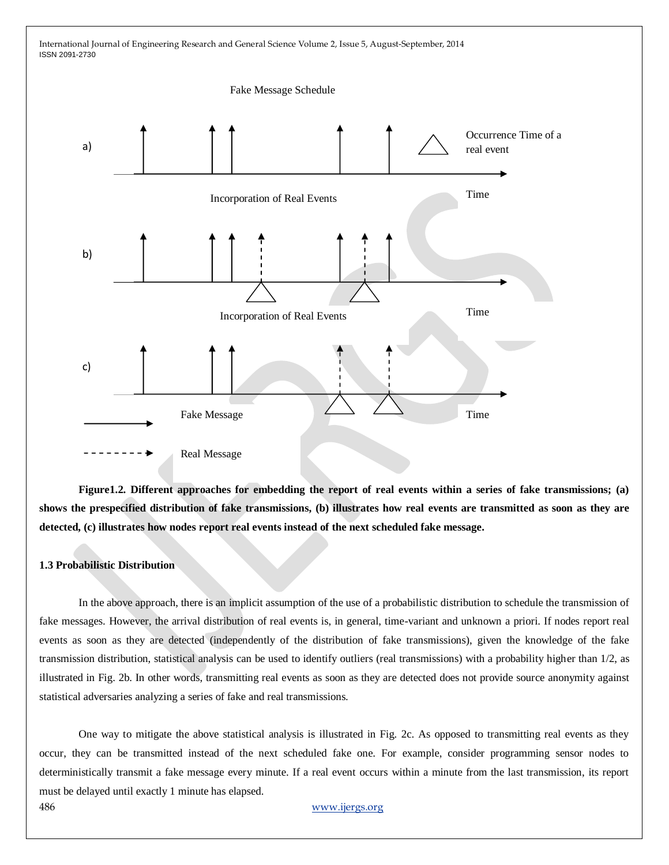

**Figure1.2. Different approaches for embedding the report of real events within a series of fake transmissions; (a) shows the prespecified distribution of fake transmissions, (b) illustrates how real events are transmitted as soon as they are detected, (c) illustrates how nodes report real events instead of the next scheduled fake message.**

# **1.3 Probabilistic Distribution**

In the above approach, there is an implicit assumption of the use of a probabilistic distribution to schedule the transmission of fake messages. However, the arrival distribution of real events is, in general, time-variant and unknown a priori. If nodes report real events as soon as they are detected (independently of the distribution of fake transmissions), given the knowledge of the fake transmission distribution, statistical analysis can be used to identify outliers (real transmissions) with a probability higher than 1/2, as illustrated in Fig. 2b. In other words, transmitting real events as soon as they are detected does not provide source anonymity against statistical adversaries analyzing a series of fake and real transmissions.

One way to mitigate the above statistical analysis is illustrated in Fig. 2c. As opposed to transmitting real events as they occur, they can be transmitted instead of the next scheduled fake one. For example, consider programming sensor nodes to deterministically transmit a fake message every minute. If a real event occurs within a minute from the last transmission, its report must be delayed until exactly 1 minute has elapsed.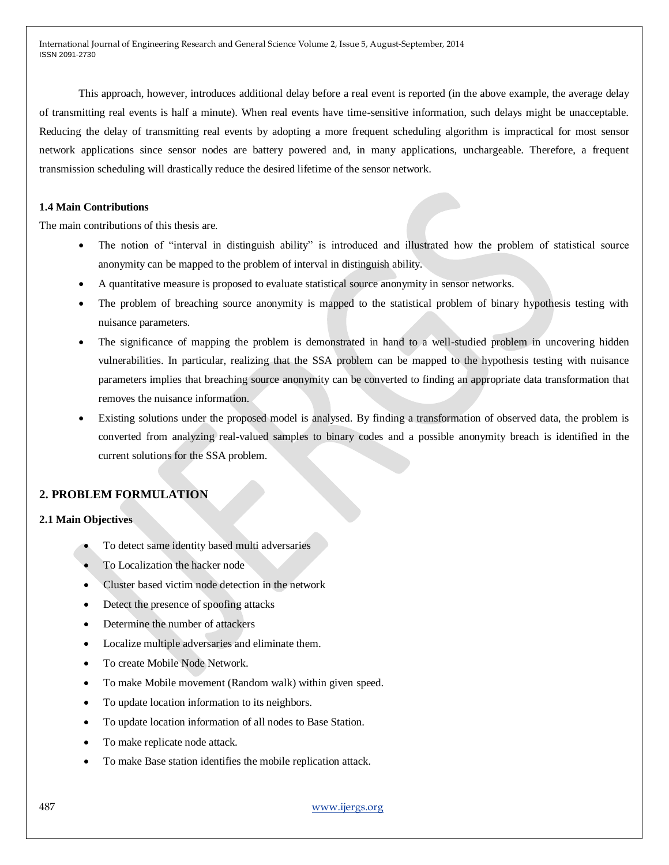This approach, however, introduces additional delay before a real event is reported (in the above example, the average delay of transmitting real events is half a minute). When real events have time-sensitive information, such delays might be unacceptable. Reducing the delay of transmitting real events by adopting a more frequent scheduling algorithm is impractical for most sensor network applications since sensor nodes are battery powered and, in many applications, unchargeable. Therefore, a frequent transmission scheduling will drastically reduce the desired lifetime of the sensor network.

# **1.4 Main Contributions**

The main contributions of this thesis are.

- The notion of "interval in distinguish ability" is introduced and illustrated how the problem of statistical source anonymity can be mapped to the problem of interval in distinguish ability.
- A quantitative measure is proposed to evaluate statistical source anonymity in sensor networks.
- The problem of breaching source anonymity is mapped to the statistical problem of binary hypothesis testing with nuisance parameters.
- The significance of mapping the problem is demonstrated in hand to a well-studied problem in uncovering hidden vulnerabilities. In particular, realizing that the SSA problem can be mapped to the hypothesis testing with nuisance parameters implies that breaching source anonymity can be converted to finding an appropriate data transformation that removes the nuisance information.
- Existing solutions under the proposed model is analysed. By finding a transformation of observed data, the problem is converted from analyzing real-valued samples to binary codes and a possible anonymity breach is identified in the current solutions for the SSA problem.

# **2. PROBLEM FORMULATION**

# **2.1 Main Objectives**

- To detect same identity based multi adversaries
- To Localization the hacker node
- Cluster based victim node detection in the network
- Detect the presence of spoofing attacks
- Determine the number of attackers
- Localize multiple adversaries and eliminate them.
- To create Mobile Node Network.
- To make Mobile movement (Random walk) within given speed.
- To update location information to its neighbors.
- To update location information of all nodes to Base Station.
- To make replicate node attack.
- To make Base station identifies the mobile replication attack.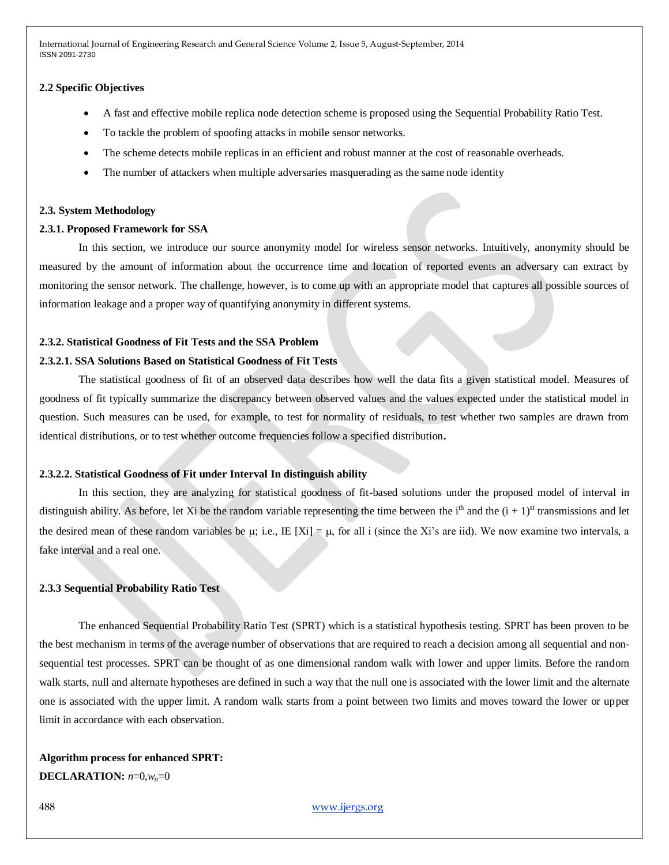# **2.2 Specific Objectives**

- A fast and effective mobile replica node detection scheme is proposed using the Sequential Probability Ratio Test.
- To tackle the problem of spoofing attacks in mobile sensor networks.
- The scheme detects mobile replicas in an efficient and robust manner at the cost of reasonable overheads.
- The number of attackers when multiple adversaries masquerading as the same node identity

#### **2.3. System Methodology**

#### **2.3.1. Proposed Framework for SSA**

In this section, we introduce our source anonymity model for wireless sensor networks. Intuitively, anonymity should be measured by the amount of information about the occurrence time and location of reported events an adversary can extract by monitoring the sensor network. The challenge, however, is to come up with an appropriate model that captures all possible sources of information leakage and a proper way of quantifying anonymity in different systems.

#### **2.3.2. Statistical Goodness of Fit Tests and the SSA Problem**

# **2.3.2.1. SSA Solutions Based on Statistical Goodness of Fit Tests**

The statistical goodness of fit of an observed data describes how well the data fits a given statistical model. Measures of goodness of fit typically summarize the discrepancy between observed values and the values expected under the statistical model in question. Such measures can be used, for example, to test for normality of residuals, to test whether two samples are drawn from identical distributions, or to test whether outcome frequencies follow a specified distribution**.**

# **2.3.2.2. Statistical Goodness of Fit under Interval In distinguish ability**

In this section, they are analyzing for statistical goodness of fit-based solutions under the proposed model of interval in distinguish ability. As before, let Xi be the random variable representing the time between the i<sup>th</sup> and the  $(i + 1)$ <sup>st</sup> transmissions and let the desired mean of these random variables be  $\mu$ ; i.e., IE [Xi] =  $\mu$ , for all i (since the Xi's are iid). We now examine two intervals, a fake interval and a real one.

#### **2.3.3 Sequential Probability Ratio Test**

The enhanced Sequential Probability Ratio Test (SPRT) which is a statistical hypothesis testing. SPRT has been proven to be the best mechanism in terms of the average number of observations that are required to reach a decision among all sequential and nonsequential test processes. SPRT can be thought of as one dimensional random walk with lower and upper limits. Before the random walk starts, null and alternate hypotheses are defined in such a way that the null one is associated with the lower limit and the alternate one is associated with the upper limit. A random walk starts from a point between two limits and moves toward the lower or upper limit in accordance with each observation.

# **Algorithm process for enhanced SPRT: DECLARATION:** *n*=0,*wn*=0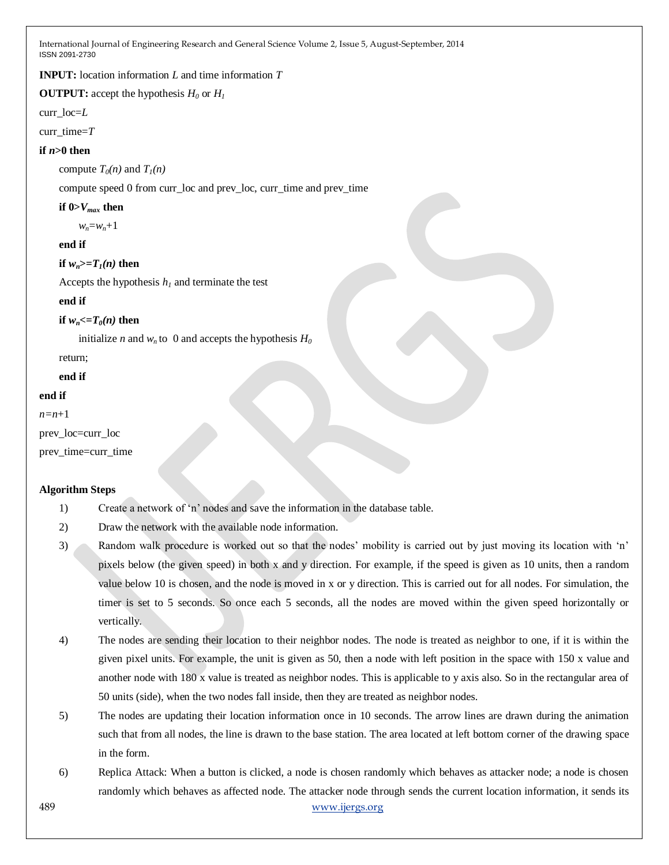**INPUT:** location information *L* and time information *T*

**OUTPUT:** accept the hypothesis  $H_0$  or  $H_1$ 

curr\_loc=*L*

curr\_time=*T*

# **if** *n***>0 then**

compute  $T_0(n)$  and  $T_1(n)$ 

compute speed 0 from curr\_loc and prev\_loc, curr\_time and prev\_time

#### **if**  $0 > V_{max}$  **then**

*wn*=*wn*+1

#### **end if**

# **if**  $w_n$  > =  $T_1(n)$  then

Accepts the hypothesis  $h<sub>I</sub>$  and terminate the test

#### **end if**

**if**  $w_n \leq T_0(n)$  then

initialize *n* and  $w_n$  to 0 and accepts the hypothesis  $H_0$ 

return;

**end if**

# **end if**

*n=n*+1

prev\_loc=curr\_loc

prev\_time=curr\_time

# **Algorithm Steps**

- 1) Create a network of 'n' nodes and save the information in the database table.
- 2) Draw the network with the available node information.
- 3) Random walk procedure is worked out so that the nodes" mobility is carried out by just moving its location with "n" pixels below (the given speed) in both x and y direction. For example, if the speed is given as 10 units, then a random value below 10 is chosen, and the node is moved in x or y direction. This is carried out for all nodes. For simulation, the timer is set to 5 seconds. So once each 5 seconds, all the nodes are moved within the given speed horizontally or vertically.
- 4) The nodes are sending their location to their neighbor nodes. The node is treated as neighbor to one, if it is within the given pixel units. For example, the unit is given as 50, then a node with left position in the space with 150 x value and another node with 180 x value is treated as neighbor nodes. This is applicable to y axis also. So in the rectangular area of 50 units (side), when the two nodes fall inside, then they are treated as neighbor nodes.
- 5) The nodes are updating their location information once in 10 seconds. The arrow lines are drawn during the animation such that from all nodes, the line is drawn to the base station. The area located at left bottom corner of the drawing space in the form.
- 489 [www.ijergs.org](http://www.ijergs.org/) 6) Replica Attack: When a button is clicked, a node is chosen randomly which behaves as attacker node; a node is chosen randomly which behaves as affected node. The attacker node through sends the current location information, it sends its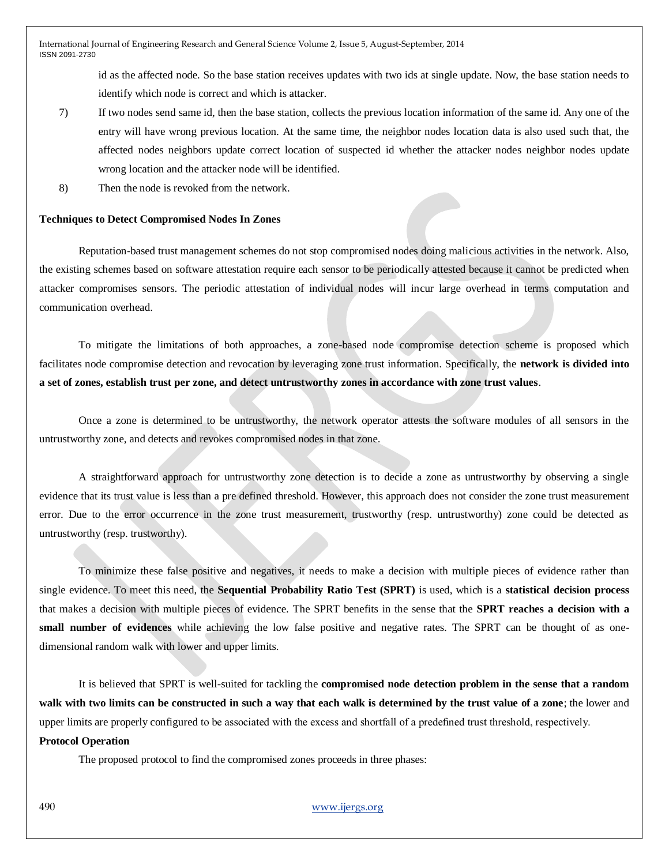id as the affected node. So the base station receives updates with two ids at single update. Now, the base station needs to identify which node is correct and which is attacker.

- 7) If two nodes send same id, then the base station, collects the previous location information of the same id. Any one of the entry will have wrong previous location. At the same time, the neighbor nodes location data is also used such that, the affected nodes neighbors update correct location of suspected id whether the attacker nodes neighbor nodes update wrong location and the attacker node will be identified.
- 8) Then the node is revoked from the network.

#### **Techniques to Detect Compromised Nodes In Zones**

Reputation-based trust management schemes do not stop compromised nodes doing malicious activities in the network. Also, the existing schemes based on software attestation require each sensor to be periodically attested because it cannot be predicted when attacker compromises sensors. The periodic attestation of individual nodes will incur large overhead in terms computation and communication overhead.

To mitigate the limitations of both approaches, a zone-based node compromise detection scheme is proposed which facilitates node compromise detection and revocation by leveraging zone trust information. Specifically, the **network is divided into a set of zones, establish trust per zone, and detect untrustworthy zones in accordance with zone trust values**.

Once a zone is determined to be untrustworthy, the network operator attests the software modules of all sensors in the untrustworthy zone, and detects and revokes compromised nodes in that zone.

A straightforward approach for untrustworthy zone detection is to decide a zone as untrustworthy by observing a single evidence that its trust value is less than a pre defined threshold. However, this approach does not consider the zone trust measurement error. Due to the error occurrence in the zone trust measurement, trustworthy (resp. untrustworthy) zone could be detected as untrustworthy (resp. trustworthy).

To minimize these false positive and negatives, it needs to make a decision with multiple pieces of evidence rather than single evidence. To meet this need, the **Sequential Probability Ratio Test (SPRT)** is used, which is a **statistical decision process** that makes a decision with multiple pieces of evidence. The SPRT benefits in the sense that the **SPRT reaches a decision with a small number of evidences** while achieving the low false positive and negative rates. The SPRT can be thought of as onedimensional random walk with lower and upper limits.

It is believed that SPRT is well-suited for tackling the **compromised node detection problem in the sense that a random walk with two limits can be constructed in such a way that each walk is determined by the trust value of a zone**; the lower and upper limits are properly configured to be associated with the excess and shortfall of a predefined trust threshold, respectively.

#### **Protocol Operation**

The proposed protocol to find the compromised zones proceeds in three phases: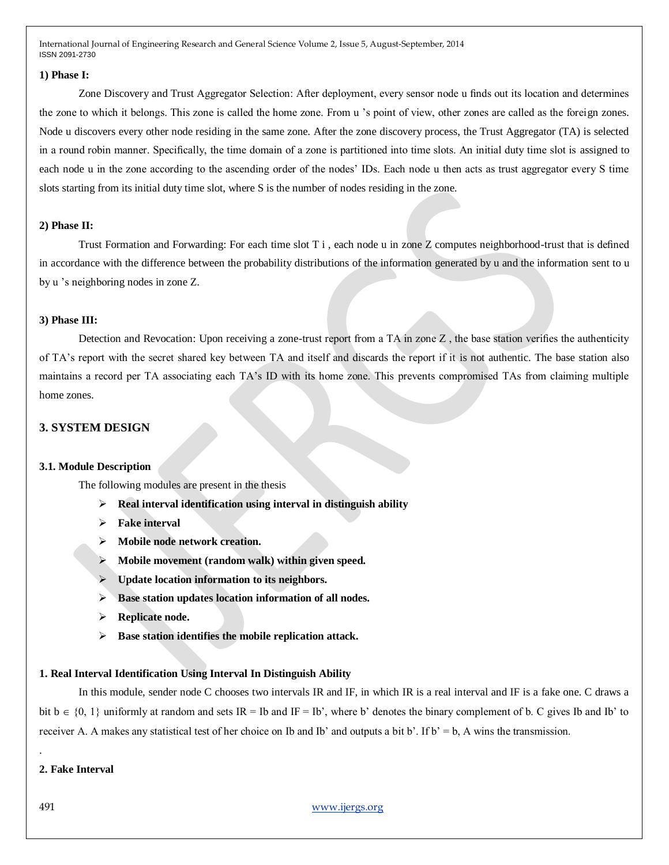#### **1) Phase I:**

Zone Discovery and Trust Aggregator Selection: After deployment, every sensor node u finds out its location and determines the zone to which it belongs. This zone is called the home zone. From u "s point of view, other zones are called as the foreign zones. Node u discovers every other node residing in the same zone. After the zone discovery process, the Trust Aggregator (TA) is selected in a round robin manner. Specifically, the time domain of a zone is partitioned into time slots. An initial duty time slot is assigned to each node u in the zone according to the ascending order of the nodes" IDs. Each node u then acts as trust aggregator every S time slots starting from its initial duty time slot, where S is the number of nodes residing in the zone.

#### **2) Phase II:**

Trust Formation and Forwarding: For each time slot  $T_i$ , each node u in zone Z computes neighborhood-trust that is defined in accordance with the difference between the probability distributions of the information generated by u and the information sent to u by u "s neighboring nodes in zone Z.

#### **3) Phase III:**

Detection and Revocation: Upon receiving a zone-trust report from a TA in zone  $Z$ , the base station verifies the authenticity of TA"s report with the secret shared key between TA and itself and discards the report if it is not authentic. The base station also maintains a record per TA associating each TA"s ID with its home zone. This prevents compromised TAs from claiming multiple home zones.

# **3. SYSTEM DESIGN**

#### **3.1. Module Description**

The following modules are present in the thesis

- **Real interval identification using interval in distinguish ability**
- **Fake interval**
- **Mobile node network creation.**
- **Mobile movement (random walk) within given speed.**
- **Update location information to its neighbors.**
- **Base station updates location information of all nodes.**
- **Replicate node.**
- **Base station identifies the mobile replication attack.**

#### **1. Real Interval Identification Using Interval In Distinguish Ability**

In this module, sender node C chooses two intervals IR and IF, in which IR is a real interval and IF is a fake one. C draws a bit  $b \in \{0, 1\}$  uniformly at random and sets IR = Ib and IF = Ib', where b' denotes the binary complement of b. C gives Ib and Ib' to receiver A. A makes any statistical test of her choice on Ib and Ib' and outputs a bit b'. If  $b' = b$ , A wins the transmission.

#### **2. Fake Interval**

491 [www.ijergs.org](http://www.ijergs.org/)

.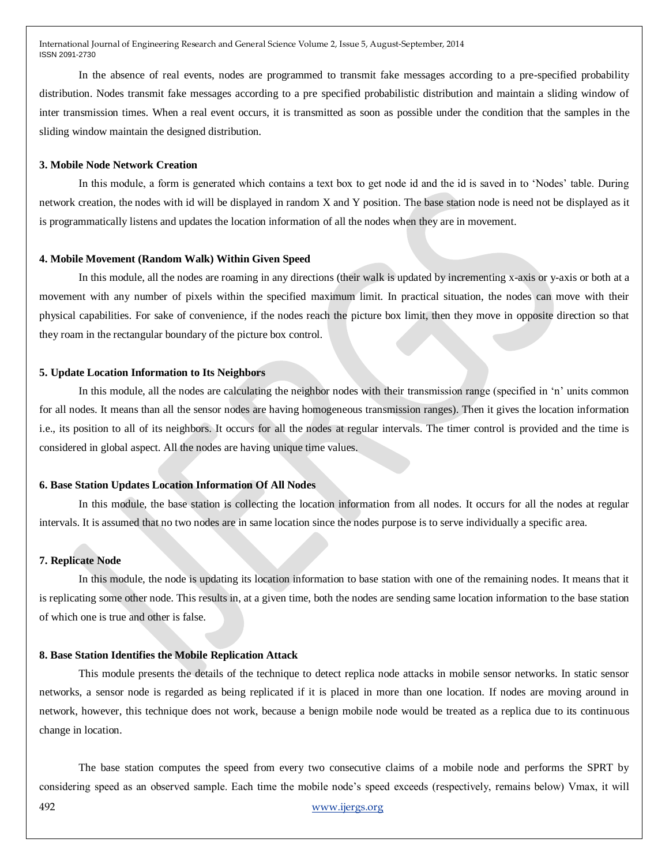In the absence of real events, nodes are programmed to transmit fake messages according to a pre-specified probability distribution. Nodes transmit fake messages according to a pre specified probabilistic distribution and maintain a sliding window of inter transmission times. When a real event occurs, it is transmitted as soon as possible under the condition that the samples in the sliding window maintain the designed distribution.

#### **3. Mobile Node Network Creation**

In this module, a form is generated which contains a text box to get node id and the id is saved in to "Nodes" table. During network creation, the nodes with id will be displayed in random X and Y position. The base station node is need not be displayed as it is programmatically listens and updates the location information of all the nodes when they are in movement.

#### **4. Mobile Movement (Random Walk) Within Given Speed**

In this module, all the nodes are roaming in any directions (their walk is updated by incrementing x-axis or y-axis or both at a movement with any number of pixels within the specified maximum limit. In practical situation, the nodes can move with their physical capabilities. For sake of convenience, if the nodes reach the picture box limit, then they move in opposite direction so that they roam in the rectangular boundary of the picture box control.

#### **5. Update Location Information to Its Neighbors**

In this module, all the nodes are calculating the neighbor nodes with their transmission range (specified in 'n' units common for all nodes. It means than all the sensor nodes are having homogeneous transmission ranges). Then it gives the location information i.e., its position to all of its neighbors. It occurs for all the nodes at regular intervals. The timer control is provided and the time is considered in global aspect. All the nodes are having unique time values.

#### **6. Base Station Updates Location Information Of All Nodes**

In this module, the base station is collecting the location information from all nodes. It occurs for all the nodes at regular intervals. It is assumed that no two nodes are in same location since the nodes purpose is to serve individually a specific area.

#### **7. Replicate Node**

In this module, the node is updating its location information to base station with one of the remaining nodes. It means that it is replicating some other node. This results in, at a given time, both the nodes are sending same location information to the base station of which one is true and other is false.

#### **8. Base Station Identifies the Mobile Replication Attack**

This module presents the details of the technique to detect replica node attacks in mobile sensor networks. In static sensor networks, a sensor node is regarded as being replicated if it is placed in more than one location. If nodes are moving around in network, however, this technique does not work, because a benign mobile node would be treated as a replica due to its continuous change in location.

The base station computes the speed from every two consecutive claims of a mobile node and performs the SPRT by considering speed as an observed sample. Each time the mobile node"s speed exceeds (respectively, remains below) Vmax, it will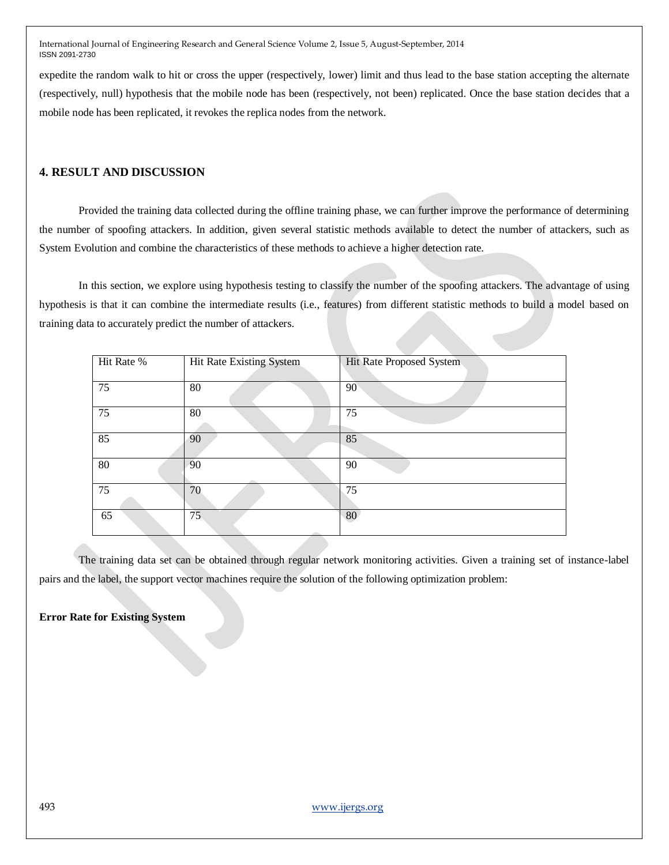expedite the random walk to hit or cross the upper (respectively, lower) limit and thus lead to the base station accepting the alternate (respectively, null) hypothesis that the mobile node has been (respectively, not been) replicated. Once the base station decides that a mobile node has been replicated, it revokes the replica nodes from the network.

# **4. RESULT AND DISCUSSION**

Provided the training data collected during the offline training phase, we can further improve the performance of determining the number of spoofing attackers. In addition, given several statistic methods available to detect the number of attackers, such as System Evolution and combine the characteristics of these methods to achieve a higher detection rate.

In this section, we explore using hypothesis testing to classify the number of the spoofing attackers. The advantage of using hypothesis is that it can combine the intermediate results (i.e., features) from different statistic methods to build a model based on training data to accurately predict the number of attackers.

| Hit Rate % | Hit Rate Existing System | Hit Rate Proposed System |
|------------|--------------------------|--------------------------|
| 75         | 80                       | 90                       |
| 75         | 80                       | 75                       |
| 85         | 90                       | 85                       |
| 80         | 90                       | 90                       |
| 75         | 70                       | 75                       |
| 65         | 75                       | 80                       |

The training data set can be obtained through regular network monitoring activities. Given a training set of instance-label pairs and the label, the support vector machines require the solution of the following optimization problem:

**Error Rate for Existing System**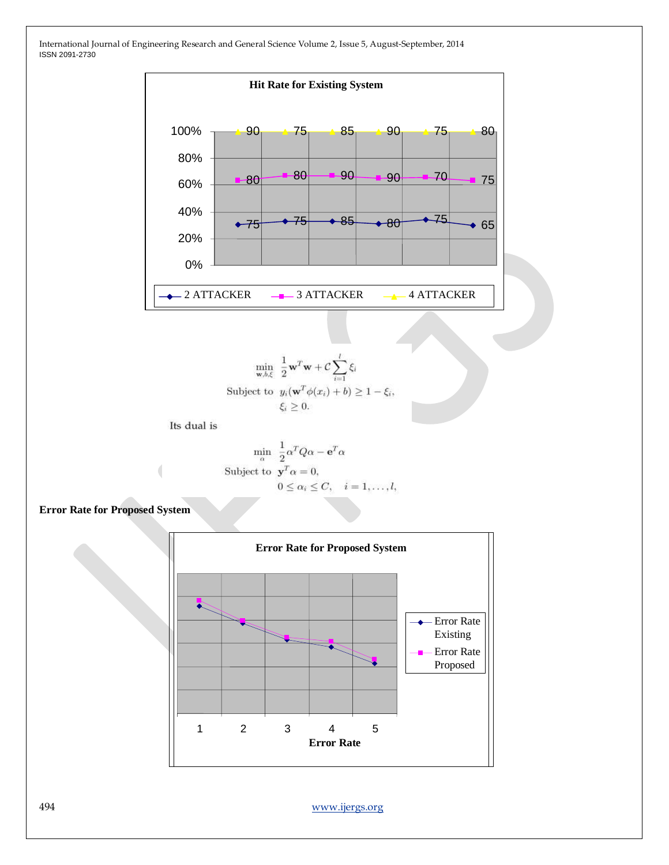

$$
\min_{\mathbf{w},b,\xi} \frac{1}{2} \mathbf{w}^T \mathbf{w} + C \sum_{i=1}^l \xi_i
$$
  
Subject to  $y_i(\mathbf{w}^T \phi(x_i) + b) \ge 1 - \xi_i$   
 $\xi_i \ge 0.$ 

Its dual is

$$
\min_{\alpha} \frac{1}{2} \alpha^T Q \alpha - \mathbf{e}^T \alpha
$$
  
Subject to 
$$
\mathbf{y}^T \alpha = 0,
$$

$$
0 \le \alpha_i \le C, \quad i = 1, ..., l,
$$

# **Error Rate for Proposed System**

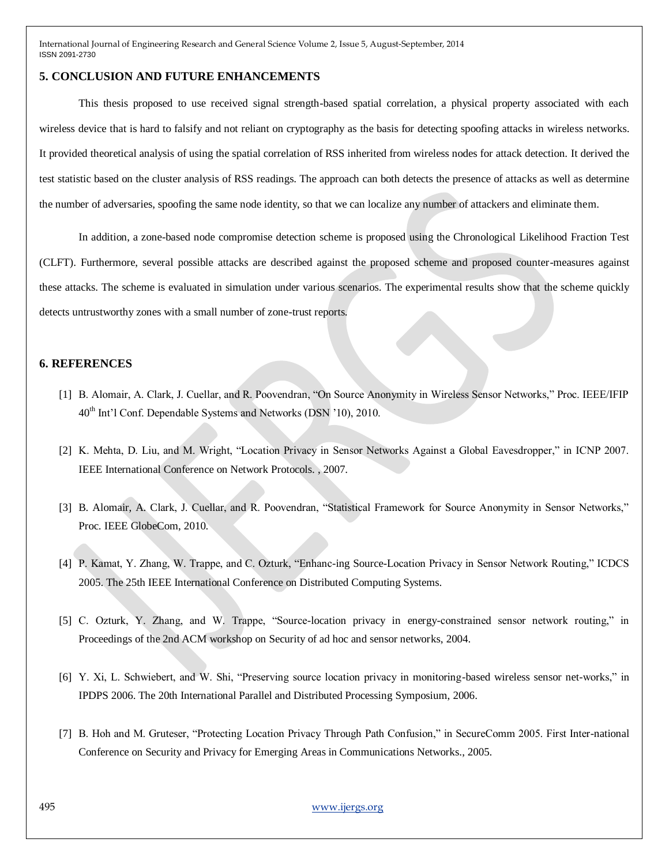#### **5. CONCLUSION AND FUTURE ENHANCEMENTS**

This thesis proposed to use received signal strength-based spatial correlation, a physical property associated with each wireless device that is hard to falsify and not reliant on cryptography as the basis for detecting spoofing attacks in wireless networks. It provided theoretical analysis of using the spatial correlation of RSS inherited from wireless nodes for attack detection. It derived the test statistic based on the cluster analysis of RSS readings. The approach can both detects the presence of attacks as well as determine the number of adversaries, spoofing the same node identity, so that we can localize any number of attackers and eliminate them.

In addition, a zone-based node compromise detection scheme is proposed using the Chronological Likelihood Fraction Test (CLFT). Furthermore, several possible attacks are described against the proposed scheme and proposed counter-measures against these attacks. The scheme is evaluated in simulation under various scenarios. The experimental results show that the scheme quickly detects untrustworthy zones with a small number of zone-trust reports.

#### **6. REFERENCES**

- [1] B. Alomair, A. Clark, J. Cuellar, and R. Poovendran, "On Source Anonymity in Wireless Sensor Networks," Proc. IEEE/IFIP 40th Int"l Conf. Dependable Systems and Networks (DSN "10), 2010.
- [2] K. Mehta, D. Liu, and M. Wright, "Location Privacy in Sensor Networks Against a Global Eavesdropper," in ICNP 2007. IEEE International Conference on Network Protocols. , 2007.
- [3] B. Alomair, A. Clark, J. Cuellar, and R. Poovendran, "Statistical Framework for Source Anonymity in Sensor Networks," Proc. IEEE GlobeCom, 2010.
- [4] P. Kamat, Y. Zhang, W. Trappe, and C. Ozturk, "Enhanc-ing Source-Location Privacy in Sensor Network Routing," ICDCS 2005. The 25th IEEE International Conference on Distributed Computing Systems.
- [5] C. Ozturk, Y. Zhang, and W. Trappe, "Source-location privacy in energy-constrained sensor network routing," in Proceedings of the 2nd ACM workshop on Security of ad hoc and sensor networks, 2004.
- [6] Y. Xi, L. Schwiebert, and W. Shi, "Preserving source location privacy in monitoring-based wireless sensor net-works," in IPDPS 2006. The 20th International Parallel and Distributed Processing Symposium, 2006.
- [7] B. Hoh and M. Gruteser, "Protecting Location Privacy Through Path Confusion," in SecureComm 2005. First Inter-national Conference on Security and Privacy for Emerging Areas in Communications Networks., 2005.